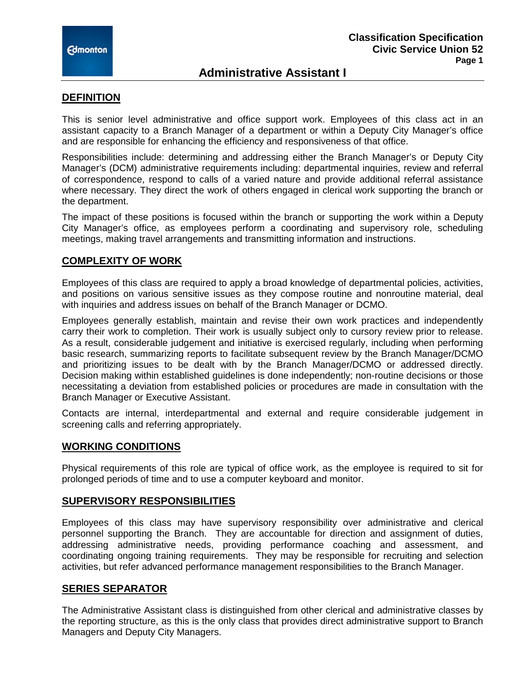

## **Administrative Assistant I**

### **DEFINITION**

This is senior level administrative and office support work. Employees of this class act in an assistant capacity to a Branch Manager of a department or within a Deputy City Manager's office and are responsible for enhancing the efficiency and responsiveness of that office.

Responsibilities include: determining and addressing either the Branch Manager's or Deputy City Manager's (DCM) administrative requirements including: departmental inquiries, review and referral of correspondence, respond to calls of a varied nature and provide additional referral assistance where necessary. They direct the work of others engaged in clerical work supporting the branch or the department.

The impact of these positions is focused within the branch or supporting the work within a Deputy City Manager's office, as employees perform a coordinating and supervisory role, scheduling meetings, making travel arrangements and transmitting information and instructions.

### **COMPLEXITY OF WORK**

Employees of this class are required to apply a broad knowledge of departmental policies, activities, and positions on various sensitive issues as they compose routine and nonroutine material, deal with inquiries and address issues on behalf of the Branch Manager or DCMO.

Employees generally establish, maintain and revise their own work practices and independently carry their work to completion. Their work is usually subject only to cursory review prior to release. As a result, considerable judgement and initiative is exercised regularly, including when performing basic research, summarizing reports to facilitate subsequent review by the Branch Manager/DCMO and prioritizing issues to be dealt with by the Branch Manager/DCMO or addressed directly. Decision making within established guidelines is done independently; non-routine decisions or those necessitating a deviation from established policies or procedures are made in consultation with the Branch Manager or Executive Assistant.

Contacts are internal, interdepartmental and external and require considerable judgement in screening calls and referring appropriately.

### **WORKING CONDITIONS**

Physical requirements of this role are typical of office work, as the employee is required to sit for prolonged periods of time and to use a computer keyboard and monitor.

### **SUPERVISORY RESPONSIBILITIES**

Employees of this class may have supervisory responsibility over administrative and clerical personnel supporting the Branch. They are accountable for direction and assignment of duties, addressing administrative needs, providing performance coaching and assessment, and coordinating ongoing training requirements. They may be responsible for recruiting and selection activities, but refer advanced performance management responsibilities to the Branch Manager.

### **SERIES SEPARATOR**

The Administrative Assistant class is distinguished from other clerical and administrative classes by the reporting structure, as this is the only class that provides direct administrative support to Branch Managers and Deputy City Managers.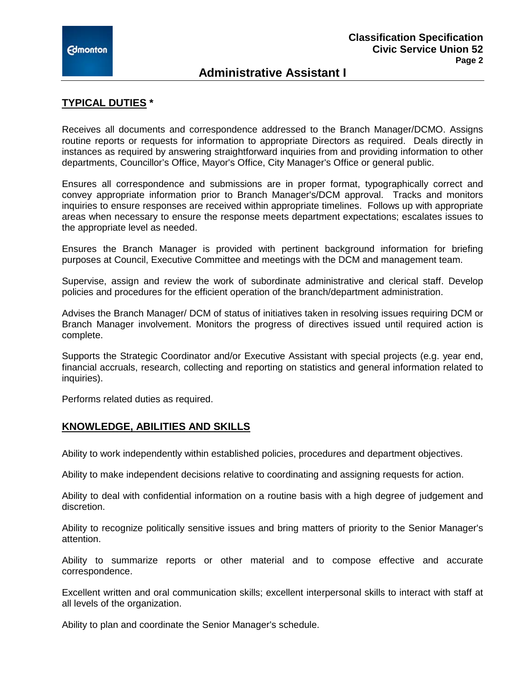## **Administrative Assistant I**

## **TYPICAL DUTIES \***

Receives all documents and correspondence addressed to the Branch Manager/DCMO. Assigns routine reports or requests for information to appropriate Directors as required. Deals directly in instances as required by answering straightforward inquiries from and providing information to other departments, Councillor's Office, Mayor's Office, City Manager's Office or general public.

Ensures all correspondence and submissions are in proper format, typographically correct and convey appropriate information prior to Branch Manager's/DCM approval. Tracks and monitors inquiries to ensure responses are received within appropriate timelines. Follows up with appropriate areas when necessary to ensure the response meets department expectations; escalates issues to the appropriate level as needed.

Ensures the Branch Manager is provided with pertinent background information for briefing purposes at Council, Executive Committee and meetings with the DCM and management team.

Supervise, assign and review the work of subordinate administrative and clerical staff. Develop policies and procedures for the efficient operation of the branch/department administration.

Advises the Branch Manager/ DCM of status of initiatives taken in resolving issues requiring DCM or Branch Manager involvement. Monitors the progress of directives issued until required action is complete.

Supports the Strategic Coordinator and/or Executive Assistant with special projects (e.g. year end, financial accruals, research, collecting and reporting on statistics and general information related to inquiries).

Performs related duties as required.

### **KNOWLEDGE, ABILITIES AND SKILLS**

Ability to work independently within established policies, procedures and department objectives.

Ability to make independent decisions relative to coordinating and assigning requests for action.

Ability to deal with confidential information on a routine basis with a high degree of judgement and discretion.

Ability to recognize politically sensitive issues and bring matters of priority to the Senior Manager's attention.

Ability to summarize reports or other material and to compose effective and accurate correspondence.

Excellent written and oral communication skills; excellent interpersonal skills to interact with staff at all levels of the organization.

Ability to plan and coordinate the Senior Manager's schedule.